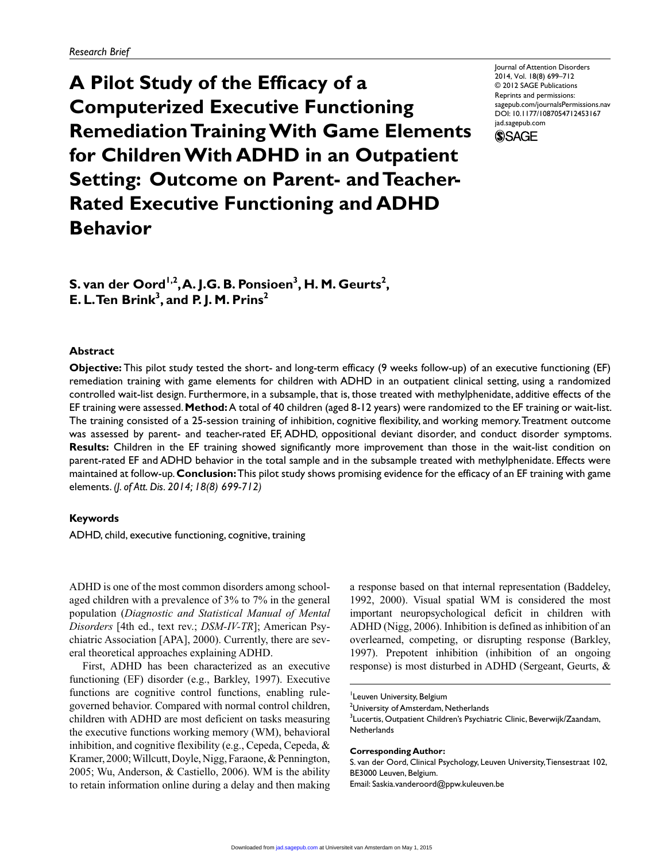**A Pilot Study of the Efficacy of a Computerized Executive Functioning Remediation Training With Game Elements for Children With ADHD in an Outpatient Setting: Outcome on Parent- and Teacher-Rated Executive Functioning and ADHD Behavior**

Journal of Attention Disorders 2014, Vol. 18(8) 699–712 © 2012 SAGE Publications Reprints and permissions: sagepub.com/journalsPermissions.nav DOI: 10.1177/1087054712453167 jad.sagepub.com



 $\boldsymbol{\mathsf{S}}$ . van der Oord<sup>1,2</sup>, A. J.G. B. Ponsioen<sup>3</sup>, H. M. Geurts<sup>2</sup>, **E. L. Ten Brink3 , and P. J. M. Prins2**

### **Abstract**

**Objective:** This pilot study tested the short- and long-term efficacy (9 weeks follow-up) of an executive functioning (EF) remediation training with game elements for children with ADHD in an outpatient clinical setting, using a randomized controlled wait-list design. Furthermore, in a subsample, that is, those treated with methylphenidate, additive effects of the EF training were assessed. **Method:** A total of 40 children (aged 8-12 years) were randomized to the EF training or wait-list. The training consisted of a 25-session training of inhibition, cognitive flexibility, and working memory. Treatment outcome was assessed by parent- and teacher-rated EF, ADHD, oppositional deviant disorder, and conduct disorder symptoms. **Results:** Children in the EF training showed significantly more improvement than those in the wait-list condition on parent-rated EF and ADHD behavior in the total sample and in the subsample treated with methylphenidate. Effects were maintained at follow-up. **Conclusion:** This pilot study shows promising evidence for the efficacy of an EF training with game elements. *(J. of Att. Dis. 2014; 18(8) 699-712)*

# **Keywords**

ADHD, child, executive functioning, cognitive, training

ADHD is one of the most common disorders among schoolaged children with a prevalence of 3% to 7% in the general population (*Diagnostic and Statistical Manual of Mental Disorders* [4th ed., text rev.; *DSM-IV-TR*]; American Psychiatric Association [APA], 2000). Currently, there are several theoretical approaches explaining ADHD.

First, ADHD has been characterized as an executive functioning (EF) disorder (e.g., Barkley, 1997). Executive functions are cognitive control functions, enabling rulegoverned behavior. Compared with normal control children, children with ADHD are most deficient on tasks measuring the executive functions working memory (WM), behavioral inhibition, and cognitive flexibility (e.g., Cepeda, Cepeda, & Kramer, 2000; Willcutt, Doyle, Nigg, Faraone, & Pennington, 2005; Wu, Anderson, & Castiello, 2006). WM is the ability to retain information online during a delay and then making a response based on that internal representation (Baddeley, 1992, 2000). Visual spatial WM is considered the most important neuropsychological deficit in children with ADHD (Nigg, 2006). Inhibition is defined as inhibition of an overlearned, competing, or disrupting response (Barkley, 1997). Prepotent inhibition (inhibition of an ongoing response) is most disturbed in ADHD (Sergeant, Geurts, &

<sup>3</sup>Lucertis, Outpatient Children's Psychiatric Clinic, Beverwijk/Zaandam, **Netherlands** 

#### **Corresponding Author:**

S. van der Oord, Clinical Psychology, Leuven University, Tiensestraat 102, BE3000 Leuven, Belgium. Email: Saskia.vanderoord@ppw.kuleuven.be

<sup>&</sup>lt;sup>1</sup>Leuven University, Belgium

<sup>&</sup>lt;sup>2</sup>University of Amsterdam, Netherlands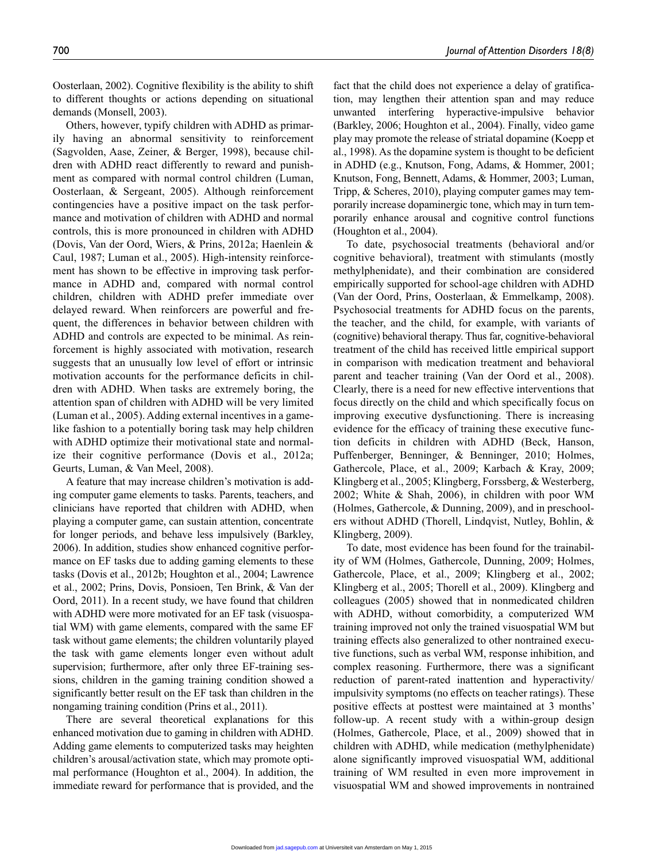Oosterlaan, 2002). Cognitive flexibility is the ability to shift to different thoughts or actions depending on situational demands (Monsell, 2003).

Others, however, typify children with ADHD as primarily having an abnormal sensitivity to reinforcement (Sagvolden, Aase, Zeiner, & Berger, 1998), because children with ADHD react differently to reward and punishment as compared with normal control children (Luman, Oosterlaan, & Sergeant, 2005). Although reinforcement contingencies have a positive impact on the task performance and motivation of children with ADHD and normal controls, this is more pronounced in children with ADHD (Dovis, Van der Oord, Wiers, & Prins, 2012a; Haenlein & Caul, 1987; Luman et al., 2005). High-intensity reinforcement has shown to be effective in improving task performance in ADHD and, compared with normal control children, children with ADHD prefer immediate over delayed reward. When reinforcers are powerful and frequent, the differences in behavior between children with ADHD and controls are expected to be minimal. As reinforcement is highly associated with motivation, research suggests that an unusually low level of effort or intrinsic motivation accounts for the performance deficits in children with ADHD. When tasks are extremely boring, the attention span of children with ADHD will be very limited (Luman et al., 2005). Adding external incentives in a gamelike fashion to a potentially boring task may help children with ADHD optimize their motivational state and normalize their cognitive performance (Dovis et al., 2012a; Geurts, Luman, & Van Meel, 2008).

A feature that may increase children's motivation is adding computer game elements to tasks. Parents, teachers, and clinicians have reported that children with ADHD, when playing a computer game, can sustain attention, concentrate for longer periods, and behave less impulsively (Barkley, 2006). In addition, studies show enhanced cognitive performance on EF tasks due to adding gaming elements to these tasks (Dovis et al., 2012b; Houghton et al., 2004; Lawrence et al., 2002; Prins, Dovis, Ponsioen, Ten Brink, & Van der Oord, 2011). In a recent study, we have found that children with ADHD were more motivated for an EF task (visuospatial WM) with game elements, compared with the same EF task without game elements; the children voluntarily played the task with game elements longer even without adult supervision; furthermore, after only three EF-training sessions, children in the gaming training condition showed a significantly better result on the EF task than children in the nongaming training condition (Prins et al., 2011).

There are several theoretical explanations for this enhanced motivation due to gaming in children with ADHD. Adding game elements to computerized tasks may heighten children's arousal/activation state, which may promote optimal performance (Houghton et al., 2004). In addition, the immediate reward for performance that is provided, and the

fact that the child does not experience a delay of gratification, may lengthen their attention span and may reduce unwanted interfering hyperactive-impulsive behavior (Barkley, 2006; Houghton et al., 2004). Finally, video game play may promote the release of striatal dopamine (Koepp et al., 1998). As the dopamine system is thought to be deficient in ADHD (e.g., Knutson, Fong, Adams, & Hommer, 2001; Knutson, Fong, Bennett, Adams, & Hommer, 2003; Luman, Tripp, & Scheres, 2010), playing computer games may temporarily increase dopaminergic tone, which may in turn temporarily enhance arousal and cognitive control functions (Houghton et al., 2004).

To date, psychosocial treatments (behavioral and/or cognitive behavioral), treatment with stimulants (mostly methylphenidate), and their combination are considered empirically supported for school-age children with ADHD (Van der Oord, Prins, Oosterlaan, & Emmelkamp, 2008). Psychosocial treatments for ADHD focus on the parents, the teacher, and the child, for example, with variants of (cognitive) behavioral therapy. Thus far, cognitive-behavioral treatment of the child has received little empirical support in comparison with medication treatment and behavioral parent and teacher training (Van der Oord et al., 2008). Clearly, there is a need for new effective interventions that focus directly on the child and which specifically focus on improving executive dysfunctioning. There is increasing evidence for the efficacy of training these executive function deficits in children with ADHD (Beck, Hanson, Puffenberger, Benninger, & Benninger, 2010; Holmes, Gathercole, Place, et al., 2009; Karbach & Kray, 2009; Klingberg et al., 2005; Klingberg, Forssberg, & Westerberg, 2002; White & Shah, 2006), in children with poor WM (Holmes, Gathercole, & Dunning, 2009), and in preschoolers without ADHD (Thorell, Lindqvist, Nutley, Bohlin, & Klingberg, 2009).

To date, most evidence has been found for the trainability of WM (Holmes, Gathercole, Dunning, 2009; Holmes, Gathercole, Place, et al., 2009; Klingberg et al., 2002; Klingberg et al., 2005; Thorell et al., 2009). Klingberg and colleagues (2005) showed that in nonmedicated children with ADHD, without comorbidity, a computerized WM training improved not only the trained visuospatial WM but training effects also generalized to other nontrained executive functions, such as verbal WM, response inhibition, and complex reasoning. Furthermore, there was a significant reduction of parent-rated inattention and hyperactivity/ impulsivity symptoms (no effects on teacher ratings). These positive effects at posttest were maintained at 3 months' follow-up. A recent study with a within-group design (Holmes, Gathercole, Place, et al., 2009) showed that in children with ADHD, while medication (methylphenidate) alone significantly improved visuospatial WM, additional training of WM resulted in even more improvement in visuospatial WM and showed improvements in nontrained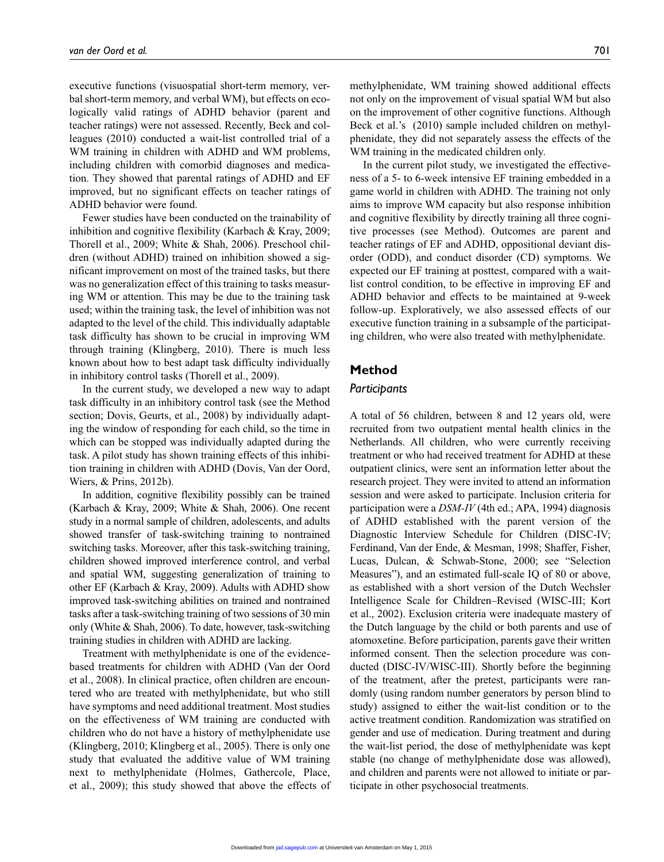executive functions (visuospatial short-term memory, verbal short-term memory, and verbal WM), but effects on ecologically valid ratings of ADHD behavior (parent and teacher ratings) were not assessed. Recently, Beck and colleagues (2010) conducted a wait-list controlled trial of a WM training in children with ADHD and WM problems, including children with comorbid diagnoses and medication. They showed that parental ratings of ADHD and EF improved, but no significant effects on teacher ratings of ADHD behavior were found.

Fewer studies have been conducted on the trainability of inhibition and cognitive flexibility (Karbach & Kray, 2009; Thorell et al., 2009; White & Shah, 2006). Preschool children (without ADHD) trained on inhibition showed a significant improvement on most of the trained tasks, but there was no generalization effect of this training to tasks measuring WM or attention. This may be due to the training task used; within the training task, the level of inhibition was not adapted to the level of the child. This individually adaptable task difficulty has shown to be crucial in improving WM through training (Klingberg, 2010). There is much less known about how to best adapt task difficulty individually in inhibitory control tasks (Thorell et al., 2009).

In the current study, we developed a new way to adapt task difficulty in an inhibitory control task (see the Method section; Dovis, Geurts, et al., 2008) by individually adapting the window of responding for each child, so the time in which can be stopped was individually adapted during the task. A pilot study has shown training effects of this inhibition training in children with ADHD (Dovis, Van der Oord, Wiers, & Prins, 2012b).

In addition, cognitive flexibility possibly can be trained (Karbach & Kray, 2009; White & Shah, 2006). One recent study in a normal sample of children, adolescents, and adults showed transfer of task-switching training to nontrained switching tasks. Moreover, after this task-switching training, children showed improved interference control, and verbal and spatial WM, suggesting generalization of training to other EF (Karbach & Kray, 2009). Adults with ADHD show improved task-switching abilities on trained and nontrained tasks after a task-switching training of two sessions of 30 min only (White & Shah, 2006). To date, however, task-switching training studies in children with ADHD are lacking.

Treatment with methylphenidate is one of the evidencebased treatments for children with ADHD (Van der Oord et al., 2008). In clinical practice, often children are encountered who are treated with methylphenidate, but who still have symptoms and need additional treatment. Most studies on the effectiveness of WM training are conducted with children who do not have a history of methylphenidate use (Klingberg, 2010; Klingberg et al., 2005). There is only one study that evaluated the additive value of WM training next to methylphenidate (Holmes, Gathercole, Place, et al., 2009); this study showed that above the effects of methylphenidate, WM training showed additional effects not only on the improvement of visual spatial WM but also on the improvement of other cognitive functions. Although Beck et al.'s (2010) sample included children on methylphenidate, they did not separately assess the effects of the WM training in the medicated children only.

In the current pilot study, we investigated the effectiveness of a 5- to 6-week intensive EF training embedded in a game world in children with ADHD. The training not only aims to improve WM capacity but also response inhibition and cognitive flexibility by directly training all three cognitive processes (see Method). Outcomes are parent and teacher ratings of EF and ADHD, oppositional deviant disorder (ODD), and conduct disorder (CD) symptoms. We expected our EF training at posttest, compared with a waitlist control condition, to be effective in improving EF and ADHD behavior and effects to be maintained at 9-week follow-up. Exploratively, we also assessed effects of our executive function training in a subsample of the participating children, who were also treated with methylphenidate.

# **Method**

### *Participants*

A total of 56 children, between 8 and 12 years old, were recruited from two outpatient mental health clinics in the Netherlands. All children, who were currently receiving treatment or who had received treatment for ADHD at these outpatient clinics, were sent an information letter about the research project. They were invited to attend an information session and were asked to participate. Inclusion criteria for participation were a *DSM-IV* (4th ed.; APA, 1994) diagnosis of ADHD established with the parent version of the Diagnostic Interview Schedule for Children (DISC-IV; Ferdinand, Van der Ende, & Mesman, 1998; Shaffer, Fisher, Lucas, Dulcan, & Schwab-Stone, 2000; see "Selection Measures"), and an estimated full-scale IQ of 80 or above, as established with a short version of the Dutch Wechsler Intelligence Scale for Children–Revised (WISC-III; Kort et al., 2002). Exclusion criteria were inadequate mastery of the Dutch language by the child or both parents and use of atomoxetine. Before participation, parents gave their written informed consent. Then the selection procedure was conducted (DISC-IV/WISC-III). Shortly before the beginning of the treatment, after the pretest, participants were randomly (using random number generators by person blind to study) assigned to either the wait-list condition or to the active treatment condition. Randomization was stratified on gender and use of medication. During treatment and during the wait-list period, the dose of methylphenidate was kept stable (no change of methylphenidate dose was allowed), and children and parents were not allowed to initiate or participate in other psychosocial treatments.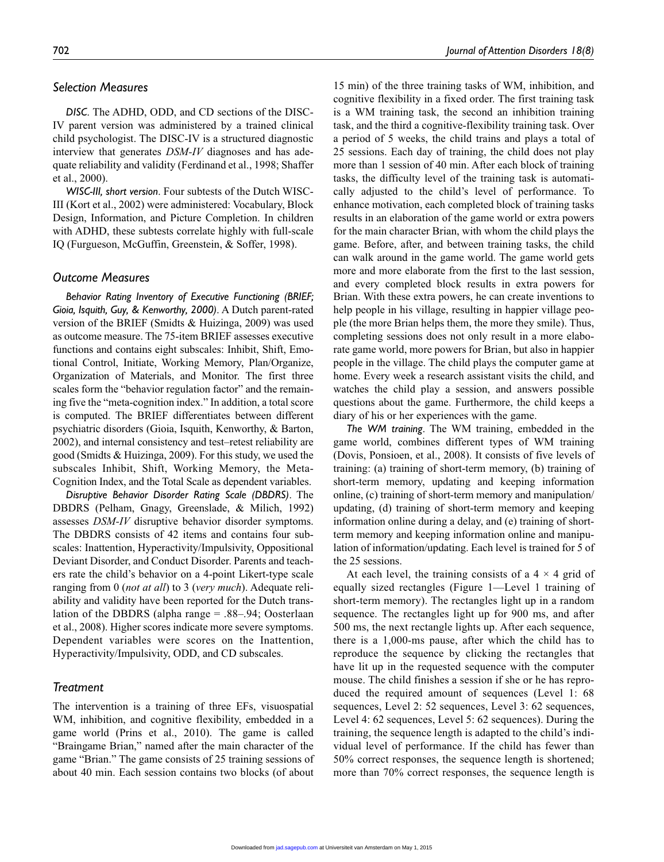# *Selection Measures*

*DISC*. The ADHD, ODD, and CD sections of the DISC-IV parent version was administered by a trained clinical child psychologist. The DISC-IV is a structured diagnostic interview that generates *DSM-IV* diagnoses and has adequate reliability and validity (Ferdinand et al., 1998; Shaffer et al., 2000).

*WISC-III, short version*. Four subtests of the Dutch WISC-III (Kort et al., 2002) were administered: Vocabulary, Block Design, Information, and Picture Completion. In children with ADHD, these subtests correlate highly with full-scale IQ (Furgueson, McGuffin, Greenstein, & Soffer, 1998).

### *Outcome Measures*

*Behavior Rating Inventory of Executive Functioning (BRIEF; Gioia, Isquith, Guy, & Kenworthy, 2000)*. A Dutch parent-rated version of the BRIEF (Smidts & Huizinga, 2009) was used as outcome measure. The 75-item BRIEF assesses executive functions and contains eight subscales: Inhibit, Shift, Emotional Control, Initiate, Working Memory, Plan/Organize, Organization of Materials, and Monitor. The first three scales form the "behavior regulation factor" and the remaining five the "meta-cognition index." In addition, a total score is computed. The BRIEF differentiates between different psychiatric disorders (Gioia, Isquith, Kenworthy, & Barton, 2002), and internal consistency and test–retest reliability are good (Smidts & Huizinga, 2009). For this study, we used the subscales Inhibit, Shift, Working Memory, the Meta-Cognition Index, and the Total Scale as dependent variables.

*Disruptive Behavior Disorder Rating Scale (DBDRS)*. The DBDRS (Pelham, Gnagy, Greenslade, & Milich, 1992) assesses *DSM-IV* disruptive behavior disorder symptoms. The DBDRS consists of 42 items and contains four subscales: Inattention, Hyperactivity/Impulsivity, Oppositional Deviant Disorder, and Conduct Disorder. Parents and teachers rate the child's behavior on a 4-point Likert-type scale ranging from 0 (*not at all*) to 3 (*very much*). Adequate reliability and validity have been reported for the Dutch translation of the DBDRS (alpha range = .88–.94; Oosterlaan et al., 2008). Higher scores indicate more severe symptoms. Dependent variables were scores on the Inattention, Hyperactivity/Impulsivity, ODD, and CD subscales.

### *Treatment*

The intervention is a training of three EFs, visuospatial WM, inhibition, and cognitive flexibility, embedded in a game world (Prins et al., 2010). The game is called "Braingame Brian," named after the main character of the game "Brian." The game consists of 25 training sessions of about 40 min. Each session contains two blocks (of about

15 min) of the three training tasks of WM, inhibition, and cognitive flexibility in a fixed order. The first training task is a WM training task, the second an inhibition training task, and the third a cognitive-flexibility training task. Over a period of 5 weeks, the child trains and plays a total of 25 sessions. Each day of training, the child does not play more than 1 session of 40 min. After each block of training tasks, the difficulty level of the training task is automatically adjusted to the child's level of performance. To enhance motivation, each completed block of training tasks results in an elaboration of the game world or extra powers for the main character Brian, with whom the child plays the game. Before, after, and between training tasks, the child can walk around in the game world. The game world gets more and more elaborate from the first to the last session, and every completed block results in extra powers for Brian. With these extra powers, he can create inventions to help people in his village, resulting in happier village people (the more Brian helps them, the more they smile). Thus, completing sessions does not only result in a more elaborate game world, more powers for Brian, but also in happier people in the village. The child plays the computer game at home. Every week a research assistant visits the child, and watches the child play a session, and answers possible questions about the game. Furthermore, the child keeps a diary of his or her experiences with the game.

*The WM training*. The WM training, embedded in the game world, combines different types of WM training (Dovis, Ponsioen, et al., 2008). It consists of five levels of training: (a) training of short-term memory, (b) training of short-term memory, updating and keeping information online, (c) training of short-term memory and manipulation/ updating, (d) training of short-term memory and keeping information online during a delay, and (e) training of shortterm memory and keeping information online and manipulation of information/updating. Each level is trained for 5 of the 25 sessions.

At each level, the training consists of a  $4 \times 4$  grid of equally sized rectangles (Figure 1—Level 1 training of short-term memory). The rectangles light up in a random sequence. The rectangles light up for 900 ms, and after 500 ms, the next rectangle lights up. After each sequence, there is a 1,000-ms pause, after which the child has to reproduce the sequence by clicking the rectangles that have lit up in the requested sequence with the computer mouse. The child finishes a session if she or he has reproduced the required amount of sequences (Level 1: 68 sequences, Level 2: 52 sequences, Level 3: 62 sequences, Level 4: 62 sequences, Level 5: 62 sequences). During the training, the sequence length is adapted to the child's individual level of performance. If the child has fewer than 50% correct responses, the sequence length is shortened; more than 70% correct responses, the sequence length is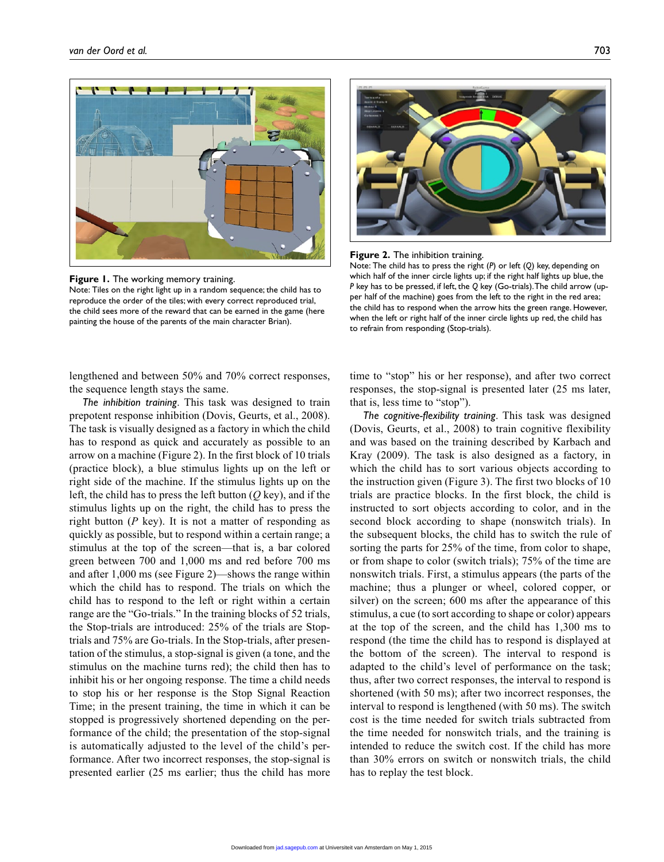

**Figure 1.** The working memory training. Note: Tiles on the right light up in a random sequence; the child has to reproduce the order of the tiles; with every correct reproduced trial, the child sees more of the reward that can be earned in the game (here painting the house of the parents of the main character Brian).





Note: The child has to press the right (*P*) or left (*Q*) key, depending on which half of the inner circle lights up; if the right half lights up blue, the *P* key has to be pressed, if left, the *Q* key (Go-trials). The child arrow (upper half of the machine) goes from the left to the right in the red area; the child has to respond when the arrow hits the green range. However, when the left or right half of the inner circle lights up red, the child has to refrain from responding (Stop-trials).

lengthened and between 50% and 70% correct responses, the sequence length stays the same.

*The inhibition training*. This task was designed to train prepotent response inhibition (Dovis, Geurts, et al., 2008). The task is visually designed as a factory in which the child has to respond as quick and accurately as possible to an arrow on a machine (Figure 2). In the first block of 10 trials (practice block), a blue stimulus lights up on the left or right side of the machine. If the stimulus lights up on the left, the child has to press the left button (*Q* key), and if the stimulus lights up on the right, the child has to press the right button (*P* key). It is not a matter of responding as quickly as possible, but to respond within a certain range; a stimulus at the top of the screen—that is, a bar colored green between 700 and 1,000 ms and red before 700 ms and after 1,000 ms (see Figure 2)—shows the range within which the child has to respond. The trials on which the child has to respond to the left or right within a certain range are the "Go-trials." In the training blocks of 52 trials, the Stop-trials are introduced: 25% of the trials are Stoptrials and 75% are Go-trials. In the Stop-trials, after presentation of the stimulus, a stop-signal is given (a tone, and the stimulus on the machine turns red); the child then has to inhibit his or her ongoing response. The time a child needs to stop his or her response is the Stop Signal Reaction Time; in the present training, the time in which it can be stopped is progressively shortened depending on the performance of the child; the presentation of the stop-signal is automatically adjusted to the level of the child's performance. After two incorrect responses, the stop-signal is presented earlier (25 ms earlier; thus the child has more

time to "stop" his or her response), and after two correct responses, the stop-signal is presented later (25 ms later, that is, less time to "stop").

*The cognitive-flexibility training*. This task was designed (Dovis, Geurts, et al., 2008) to train cognitive flexibility and was based on the training described by Karbach and Kray (2009). The task is also designed as a factory, in which the child has to sort various objects according to the instruction given (Figure 3). The first two blocks of 10 trials are practice blocks. In the first block, the child is instructed to sort objects according to color, and in the second block according to shape (nonswitch trials). In the subsequent blocks, the child has to switch the rule of sorting the parts for 25% of the time, from color to shape, or from shape to color (switch trials); 75% of the time are nonswitch trials. First, a stimulus appears (the parts of the machine; thus a plunger or wheel, colored copper, or silver) on the screen; 600 ms after the appearance of this stimulus, a cue (to sort according to shape or color) appears at the top of the screen, and the child has 1,300 ms to respond (the time the child has to respond is displayed at the bottom of the screen). The interval to respond is adapted to the child's level of performance on the task; thus, after two correct responses, the interval to respond is shortened (with 50 ms); after two incorrect responses, the interval to respond is lengthened (with 50 ms). The switch cost is the time needed for switch trials subtracted from the time needed for nonswitch trials, and the training is intended to reduce the switch cost. If the child has more than 30% errors on switch or nonswitch trials, the child has to replay the test block.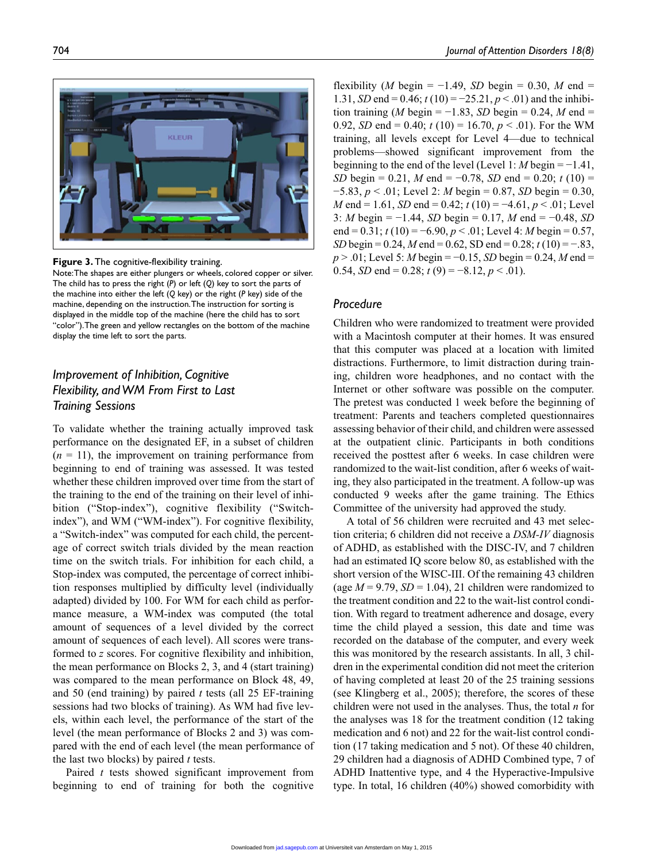704 *Journal of Attention Disorders 18(8)*



**Figure 3.** The cognitive-flexibility training.

Note: The shapes are either plungers or wheels, colored copper or silver. The child has to press the right (*P*) or left (*Q*) key to sort the parts of the machine into either the left (*Q* key) or the right (*P* key) side of the machine, depending on the instruction. The instruction for sorting is displayed in the middle top of the machine (here the child has to sort "color"). The green and yellow rectangles on the bottom of the machine display the time left to sort the parts.

# *Improvement of Inhibition, Cognitive Flexibility, and WM From First to Last Training Sessions*

To validate whether the training actually improved task performance on the designated EF, in a subset of children  $(n = 11)$ , the improvement on training performance from beginning to end of training was assessed. It was tested whether these children improved over time from the start of the training to the end of the training on their level of inhibition ("Stop-index"), cognitive flexibility ("Switchindex"), and WM ("WM-index"). For cognitive flexibility, a "Switch-index" was computed for each child, the percentage of correct switch trials divided by the mean reaction time on the switch trials. For inhibition for each child, a Stop-index was computed, the percentage of correct inhibition responses multiplied by difficulty level (individually adapted) divided by 100. For WM for each child as performance measure, a WM-index was computed (the total amount of sequences of a level divided by the correct amount of sequences of each level). All scores were transformed to *z* scores. For cognitive flexibility and inhibition, the mean performance on Blocks 2, 3, and 4 (start training) was compared to the mean performance on Block 48, 49, and 50 (end training) by paired *t* tests (all 25 EF-training sessions had two blocks of training). As WM had five levels, within each level, the performance of the start of the level (the mean performance of Blocks 2 and 3) was compared with the end of each level (the mean performance of the last two blocks) by paired *t* tests.

Paired *t* tests showed significant improvement from beginning to end of training for both the cognitive

flexibility (*M* begin =  $-1.49$ , *SD* begin = 0.30, *M* end = 1.31, *SD* end = 0.46; *t* (10) = −25.21, *p* < .01) and the inhibition training (*M* begin =  $-1.83$ , *SD* begin = 0.24, *M* end = 0.92, *SD* end = 0.40;  $t(10) = 16.70, p < .01$ ). For the WM training, all levels except for Level 4—due to technical problems—showed significant improvement from the beginning to the end of the level (Level 1: *M* begin = −1.41, *SD* begin = 0.21, *M* end = −0.78, *SD* end = 0.20; *t* (10) = −5.83, *p* < .01; Level 2: *M* begin = 0.87, *SD* begin = 0.30, *M* end = 1.61, *SD* end = 0.42; *t* (10) = −4.61, *p* < .01; Level 3: *M* begin = −1.44, *SD* begin = 0.17, *M* end = −0.48, *SD* end =  $0.31$ ;  $t(10) = -6.90$ ,  $p < .01$ ; Level 4: *M* begin = 0.57, *SD* begin = 0.24, *M* end = 0.62, SD end = 0.28; *t* (10) = −.83, *p* > .01; Level 5: *M* begin = −0.15, *SD* begin = 0.24, *M* end = 0.54, *SD* end = 0.28;  $t(9) = -8.12, p < .01$ .

# *Procedure*

Children who were randomized to treatment were provided with a Macintosh computer at their homes. It was ensured that this computer was placed at a location with limited distractions. Furthermore, to limit distraction during training, children wore headphones, and no contact with the Internet or other software was possible on the computer. The pretest was conducted 1 week before the beginning of treatment: Parents and teachers completed questionnaires assessing behavior of their child, and children were assessed at the outpatient clinic. Participants in both conditions received the posttest after 6 weeks. In case children were randomized to the wait-list condition, after 6 weeks of waiting, they also participated in the treatment. A follow-up was conducted 9 weeks after the game training. The Ethics Committee of the university had approved the study.

A total of 56 children were recruited and 43 met selection criteria; 6 children did not receive a *DSM-IV* diagnosis of ADHD, as established with the DISC-IV, and 7 children had an estimated IQ score below 80, as established with the short version of the WISC-III. Of the remaining 43 children (age  $M = 9.79$ ,  $SD = 1.04$ ), 21 children were randomized to the treatment condition and 22 to the wait-list control condition. With regard to treatment adherence and dosage, every time the child played a session, this date and time was recorded on the database of the computer, and every week this was monitored by the research assistants. In all, 3 children in the experimental condition did not meet the criterion of having completed at least 20 of the 25 training sessions (see Klingberg et al., 2005); therefore, the scores of these children were not used in the analyses. Thus, the total *n* for the analyses was 18 for the treatment condition (12 taking medication and 6 not) and 22 for the wait-list control condition (17 taking medication and 5 not). Of these 40 children, 29 children had a diagnosis of ADHD Combined type, 7 of ADHD Inattentive type, and 4 the Hyperactive-Impulsive type. In total, 16 children (40%) showed comorbidity with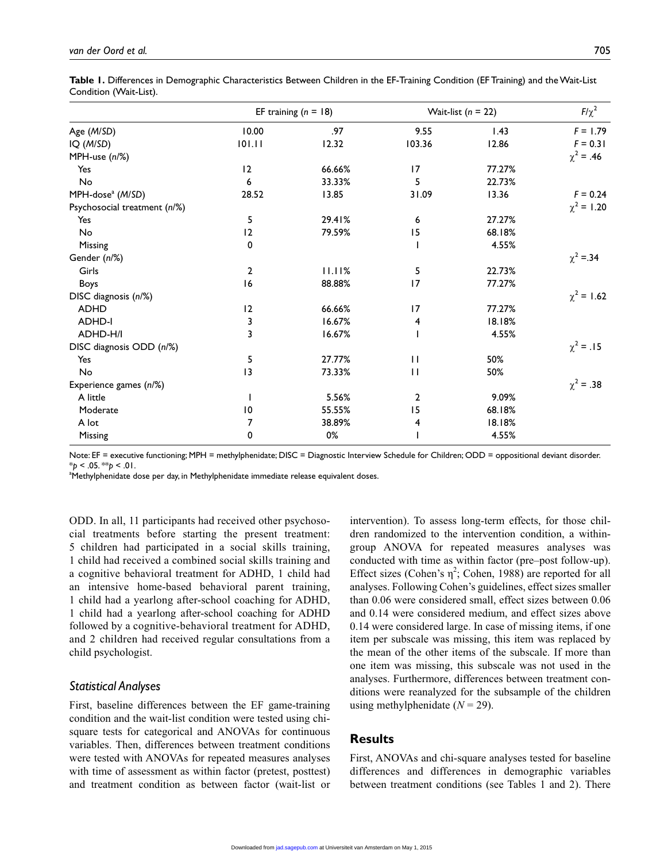|                              |                | EF training $(n = 18)$ | Wait-list $(n = 22)$ | $F/\chi^2$ |                 |
|------------------------------|----------------|------------------------|----------------------|------------|-----------------|
| Age (M/SD)                   | 10.00          | .97                    | 9.55                 | 1.43       | $F = 1.79$      |
| IQ (M/SD)                    | 101.11         | 12.32                  | 103.36               | 12.86      | $F = 0.31$      |
| MPH-use (n/%)                |                |                        |                      |            | $\chi^2 = .46$  |
| Yes                          | 12             | 66.66%                 | 17                   | 77.27%     |                 |
| No                           | 6              | 33.33%                 | 5                    | 22.73%     |                 |
| MPH-dose <sup>a</sup> (M/SD) | 28.52          | 13.85                  | 31.09                | 13.36      | $F = 0.24$      |
| Psychosocial treatment (n/%) |                |                        |                      |            | $\chi^2$ = 1.20 |
| Yes                          | 5              | 29.41%                 | 6                    | 27.27%     |                 |
| No                           | 12             | 79.59%                 | 15                   | 68.18%     |                 |
| Missing                      | 0              |                        |                      | 4.55%      |                 |
| Gender (n/%)                 |                |                        |                      |            | $\chi^2 = 34$   |
| Girls                        | $\overline{2}$ | 11.11%                 | 5                    | 22.73%     |                 |
| Boys                         | 16             | 88.88%                 | 17                   | 77.27%     |                 |
| DISC diagnosis (n/%)         |                |                        |                      |            | $\chi^2$ = 1.62 |
| <b>ADHD</b>                  | 12             | 66.66%                 | 17                   | 77.27%     |                 |
| <b>ADHD-I</b>                | 3              | 16.67%                 | 4                    | 18.18%     |                 |
| ADHD-H/I                     | 3              | 16.67%                 |                      | 4.55%      |                 |
| DISC diagnosis ODD (n/%)     |                |                        |                      |            | $\chi^2 = .15$  |
| Yes                          | 5              | 27.77%                 | $\mathbf{H}$         | 50%        |                 |
| No                           | 13             | 73.33%                 | П                    | 50%        |                 |
| Experience games (n/%)       |                |                        |                      |            | $\chi^2 = .38$  |
| A little                     |                | 5.56%                  | $\overline{2}$       | 9.09%      |                 |
| Moderate                     | 10             | 55.55%                 | 15                   | 68.18%     |                 |
| A lot                        | 7              | 38.89%                 | 4                    | 18.18%     |                 |
| Missing                      | 0              | 0%                     |                      | 4.55%      |                 |

**Table 1.** Differences in Demographic Characteristics Between Children in the EF-Training Condition (EF Training) and the Wait-List Condition (Wait-List).

Note: EF = executive functioning; MPH = methylphenidate; DISC = Diagnostic Interview Schedule for Children; ODD = oppositional deviant disorder. \**p* < .05. \*\**p* < .01.

<sup>a</sup>Methylphenidate dose per day, in Methylphenidate immediate release equivalent doses.

ODD. In all, 11 participants had received other psychosocial treatments before starting the present treatment: 5 children had participated in a social skills training, 1 child had received a combined social skills training and a cognitive behavioral treatment for ADHD, 1 child had an intensive home-based behavioral parent training, 1 child had a yearlong after-school coaching for ADHD, 1 child had a yearlong after-school coaching for ADHD followed by a cognitive-behavioral treatment for ADHD, and 2 children had received regular consultations from a child psychologist.

#### *Statistical Analyses*

First, baseline differences between the EF game-training condition and the wait-list condition were tested using chisquare tests for categorical and ANOVAs for continuous variables. Then, differences between treatment conditions were tested with ANOVAs for repeated measures analyses with time of assessment as within factor (pretest, posttest) and treatment condition as between factor (wait-list or

intervention). To assess long-term effects, for those children randomized to the intervention condition, a withingroup ANOVA for repeated measures analyses was conducted with time as within factor (pre–post follow-up). Effect sizes (Cohen's  $\eta^2$ ; Cohen, 1988) are reported for all analyses. Following Cohen's guidelines, effect sizes smaller than 0.06 were considered small, effect sizes between 0.06 and 0.14 were considered medium, and effect sizes above 0.14 were considered large. In case of missing items, if one item per subscale was missing, this item was replaced by the mean of the other items of the subscale. If more than one item was missing, this subscale was not used in the analyses. Furthermore, differences between treatment conditions were reanalyzed for the subsample of the children using methylphenidate  $(N = 29)$ .

# **Results**

First, ANOVAs and chi-square analyses tested for baseline differences and differences in demographic variables between treatment conditions (see Tables 1 and 2). There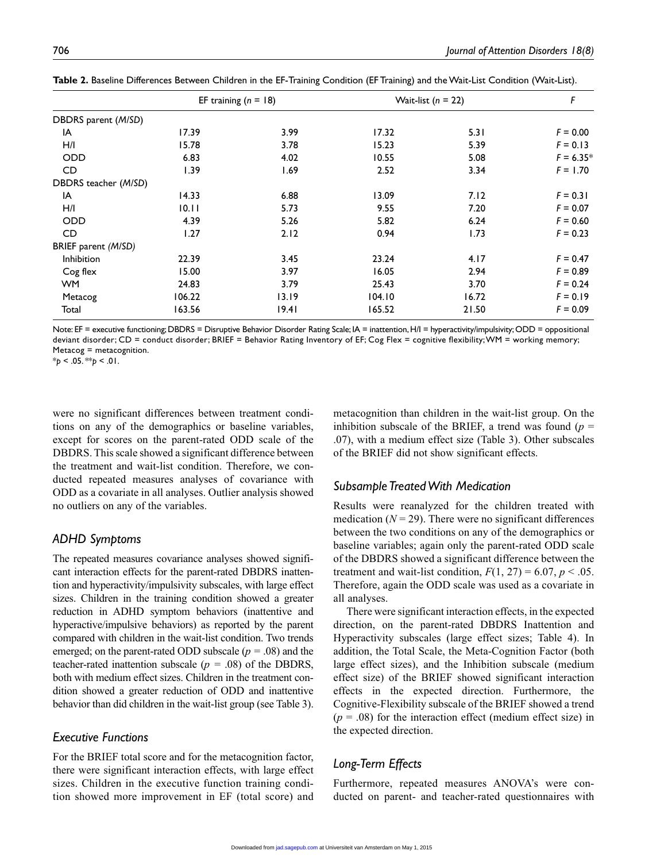|                      | EF training $(n = 18)$ |       | Wait-list $(n = 22)$ | F     |             |
|----------------------|------------------------|-------|----------------------|-------|-------------|
| DBDRS parent (M/SD)  |                        |       |                      |       |             |
| IA                   | 17.39                  | 3.99  | 17.32                | 5.31  | $F = 0.00$  |
| H/I                  | 15.78                  | 3.78  | 15.23                | 5.39  | $F = 0.13$  |
| ODD                  | 6.83                   | 4.02  | 10.55                | 5.08  | $F = 6.35*$ |
| CD                   | 1.39                   | 1.69  | 2.52                 | 3.34  | $F = 1.70$  |
| DBDRS teacher (M/SD) |                        |       |                      |       |             |
| IA                   | 14.33                  | 6.88  | 13.09                | 7.12  | $F = 0.31$  |
| H/I                  | 10.11                  | 5.73  | 9.55                 | 7.20  | $F = 0.07$  |
| <b>ODD</b>           | 4.39                   | 5.26  | 5.82                 | 6.24  | $F = 0.60$  |
| CD                   | 1.27                   | 2.12  | 0.94                 | 1.73  | $F = 0.23$  |
| BRIEF parent (M/SD)  |                        |       |                      |       |             |
| Inhibition           | 22.39                  | 3.45  | 23.24                | 4.17  | $F = 0.47$  |
| Cog flex             | 15.00                  | 3.97  | 16.05                | 2.94  | $F = 0.89$  |
| <b>WM</b>            | 24.83                  | 3.79  | 25.43                | 3.70  | $F = 0.24$  |
| Metacog              | 106.22                 | 13.19 | 104.10               | 16.72 | $F = 0.19$  |
| Total                | 163.56                 | 19.41 | 165.52               | 21.50 | $F = 0.09$  |

**Table 2.** Baseline Differences Between Children in the EF-Training Condition (EF Training) and the Wait-List Condition (Wait-List).

Note: EF = executive functioning; DBDRS = Disruptive Behavior Disorder Rating Scale; IA = inattention, H/I = hyperactivity/impulsivity; ODD = oppositional deviant disorder; CD = conduct disorder; BRIEF = Behavior Rating Inventory of EF; Cog Flex = cognitive flexibility; WM = working memory; Metacog = metacognition.

\**p* < .05. \*\**p* < .01.

were no significant differences between treatment conditions on any of the demographics or baseline variables, except for scores on the parent-rated ODD scale of the DBDRS. This scale showed a significant difference between the treatment and wait-list condition. Therefore, we conducted repeated measures analyses of covariance with ODD as a covariate in all analyses. Outlier analysis showed no outliers on any of the variables.

### *ADHD Symptoms*

The repeated measures covariance analyses showed significant interaction effects for the parent-rated DBDRS inattention and hyperactivity/impulsivity subscales, with large effect sizes. Children in the training condition showed a greater reduction in ADHD symptom behaviors (inattentive and hyperactive/impulsive behaviors) as reported by the parent compared with children in the wait-list condition. Two trends emerged; on the parent-rated ODD subscale (*p =* .08) and the teacher-rated inattention subscale ( $p = .08$ ) of the DBDRS, both with medium effect sizes. Children in the treatment condition showed a greater reduction of ODD and inattentive behavior than did children in the wait-list group (see Table 3).

# *Executive Functions*

For the BRIEF total score and for the metacognition factor, there were significant interaction effects, with large effect sizes. Children in the executive function training condition showed more improvement in EF (total score) and metacognition than children in the wait-list group. On the inhibition subscale of the BRIEF, a trend was found  $(p =$ .07), with a medium effect size (Table 3). Other subscales of the BRIEF did not show significant effects.

# *Subsample Treated With Medication*

Results were reanalyzed for the children treated with medication  $(N = 29)$ . There were no significant differences between the two conditions on any of the demographics or baseline variables; again only the parent-rated ODD scale of the DBDRS showed a significant difference between the treatment and wait-list condition,  $F(1, 27) = 6.07$ ,  $p < .05$ . Therefore, again the ODD scale was used as a covariate in all analyses.

There were significant interaction effects, in the expected direction, on the parent-rated DBDRS Inattention and Hyperactivity subscales (large effect sizes; Table 4). In addition, the Total Scale, the Meta-Cognition Factor (both large effect sizes), and the Inhibition subscale (medium effect size) of the BRIEF showed significant interaction effects in the expected direction. Furthermore, the Cognitive-Flexibility subscale of the BRIEF showed a trend  $(p = .08)$  for the interaction effect (medium effect size) in the expected direction.

# *Long-Term Effects*

Furthermore, repeated measures ANOVA's were conducted on parent- and teacher-rated questionnaires with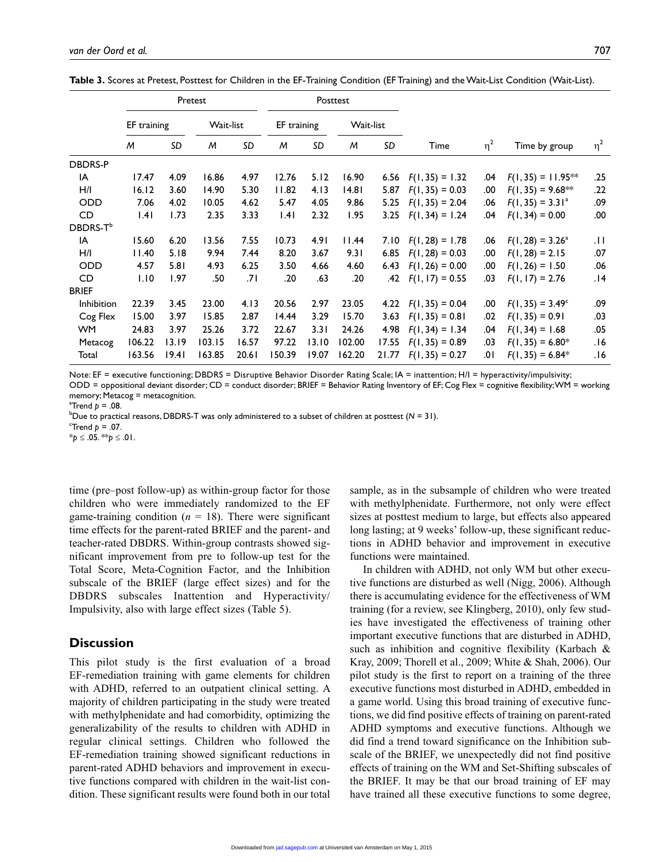|                      | Pretest     |       |           |       | Posttest    |       |           |       |                        |          |                           |          |
|----------------------|-------------|-------|-----------|-------|-------------|-------|-----------|-------|------------------------|----------|---------------------------|----------|
|                      | EF training |       | Wait-list |       | EF training |       | Wait-list |       |                        |          |                           |          |
|                      | M           | SD    | м         | SD    | M           | SD    | М         | SD    | Time                   | $\eta^2$ | Time by group             | $\eta^2$ |
| DBDRS-P              |             |       |           |       |             |       |           |       |                        |          |                           |          |
| IA                   | 17.47       | 4.09  | 16.86     | 4.97  | 12.76       | 5.12  | 16.90     |       | 6.56 $F(1, 35) = 1.32$ | .04      | $F(1, 35) = 11.95**$      | .25      |
| H/I                  | 16.12       | 3.60  | 14.90     | 5.30  | 11.82       | 4.13  | 14.81     | 5.87  | $F(1, 35) = 0.03$      | .00      | $F(1, 35) = 9.68**$       | .22      |
| <b>ODD</b>           | 7.06        | 4.02  | 10.05     | 4.62  | 5.47        | 4.05  | 9.86      | 5.25  | $F(1, 35) = 2.04$      | .06      | $F(1, 35) = 3.31a$        | .09      |
| CD                   | .4          | 1.73  | 2.35      | 3.33  | .4          | 2.32  | 1.95      | 3.25  | $F(1, 34) = 1.24$      | .04      | $F(1, 34) = 0.00$         | .00      |
| DBDRS-T <sup>b</sup> |             |       |           |       |             |       |           |       |                        |          |                           |          |
| IA                   | 15.60       | 6.20  | 13.56     | 7.55  | 10.73       | 4.91  | 11.44     | 7.10  | $F(1, 28) = 1.78$      | .06      | $F(1, 28) = 3.26^{\circ}$ | JT.      |
| H/I                  | 11.40       | 5.18  | 9.94      | 7.44  | 8.20        | 3.67  | 9.31      | 6.85  | $F(1, 28) = 0.03$      | .00      | $F(1, 28) = 2.15$         | .07      |
| <b>ODD</b>           | 4.57        | 5.81  | 4.93      | 6.25  | 3.50        | 4.66  | 4.60      | 6.43  | $F(1, 26) = 0.00$      | .00      | $F(1, 26) = 1.50$         | .06      |
| CD                   | 1.10        | 1.97  | .50       | ا7.   | .20         | .63   | .20       | .42   | $F(1, 17) = 0.55$      | .03      | $F(1, 17) = 2.76$         | 14.      |
| <b>BRIEF</b>         |             |       |           |       |             |       |           |       |                        |          |                           |          |
| Inhibition           | 22.39       | 3.45  | 23.00     | 4.13  | 20.56       | 2.97  | 23.05     | 4.22  | $F(1, 35) = 0.04$      | .00      | $F(1, 35) = 3.49^{\circ}$ | .09      |
| Cog Flex             | 15.00       | 3.97  | 15.85     | 2.87  | 14.44       | 3.29  | 15.70     | 3.63  | $F(1, 35) = 0.81$      | .02      | $F(1, 35) = 0.91$         | .03      |
| WM.                  | 24.83       | 3.97  | 25.26     | 3.72  | 22.67       | 3.31  | 24.26     | 4.98  | $F(1, 34) = 1.34$      | .04      | $F(1, 34) = 1.68$         | .05      |
| Metacog              | 106.22      | 13.19 | 103.15    | 16.57 | 97.22       | 13.10 | 102.00    | 17.55 | $F(1, 35) = 0.89$      | .03      | $F(1, 35) = 6.80*$        | 16.      |

**Table 3.** Scores at Pretest, Posttest for Children in the EF-Training Condition (EF Training) and the Wait-List Condition (Wait-List).

Note: EF = executive functioning; DBDRS = Disruptive Behavior Disorder Rating Scale; IA = inattention; H/I = hyperactivity/impulsivity; ODD = oppositional deviant disorder; CD = conduct disorder; BRIEF = Behavior Rating Inventory of EF; Cog Flex = cognitive flexibility; WM = working memory; Metacog = metacognition.

Total 163.56 19.41 163.85 20.61 150.39 19.07 162.20 21.77 *F*(1, 35) = 0.27 .01 *F*(1, 35) = 6.84\* .16

 $^{\circ}$ Trend  $p = .08$ .

b Due to practical reasons, DBDRS-T was only administered to a subset of children at posttest (*N* = 31).

Trend  $p = .07$ . \**p* ≤ .05. \*\**p* ≤ .01.

time (pre–post follow-up) as within-group factor for those children who were immediately randomized to the EF game-training condition  $(n = 18)$ . There were significant time effects for the parent-rated BRIEF and the parent- and teacher-rated DBDRS. Within-group contrasts showed significant improvement from pre to follow-up test for the Total Score, Meta-Cognition Factor, and the Inhibition subscale of the BRIEF (large effect sizes) and for the DBDRS subscales Inattention and Hyperactivity/ Impulsivity, also with large effect sizes (Table 5).

### **Discussion**

This pilot study is the first evaluation of a broad EF-remediation training with game elements for children with ADHD, referred to an outpatient clinical setting. A majority of children participating in the study were treated with methylphenidate and had comorbidity, optimizing the generalizability of the results to children with ADHD in regular clinical settings. Children who followed the EF-remediation training showed significant reductions in parent-rated ADHD behaviors and improvement in executive functions compared with children in the wait-list condition. These significant results were found both in our total

sample, as in the subsample of children who were treated with methylphenidate. Furthermore, not only were effect sizes at posttest medium to large, but effects also appeared long lasting; at 9 weeks' follow-up, these significant reductions in ADHD behavior and improvement in executive functions were maintained.

In children with ADHD, not only WM but other executive functions are disturbed as well (Nigg, 2006). Although there is accumulating evidence for the effectiveness of WM training (for a review, see Klingberg, 2010), only few studies have investigated the effectiveness of training other important executive functions that are disturbed in ADHD, such as inhibition and cognitive flexibility (Karbach & Kray, 2009; Thorell et al., 2009; White & Shah, 2006). Our pilot study is the first to report on a training of the three executive functions most disturbed in ADHD, embedded in a game world. Using this broad training of executive functions, we did find positive effects of training on parent-rated ADHD symptoms and executive functions. Although we did find a trend toward significance on the Inhibition subscale of the BRIEF, we unexpectedly did not find positive effects of training on the WM and Set-Shifting subscales of the BRIEF. It may be that our broad training of EF may have trained all these executive functions to some degree,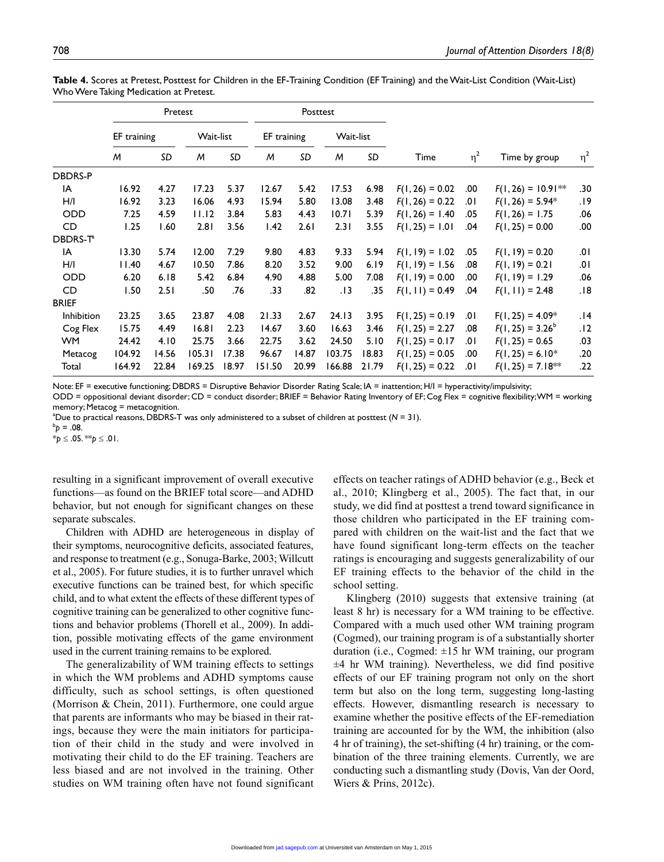|                            | Pretest     |       |           |       | Posttest    |       |           |       |                   |          |                      |          |
|----------------------------|-------------|-------|-----------|-------|-------------|-------|-----------|-------|-------------------|----------|----------------------|----------|
|                            | EF training |       | Wait-list |       | EF training |       | Wait-list |       |                   |          |                      |          |
|                            | M           | SD    | M         | SD    | M           | SD    | M         | SD    | Time              | $\eta^2$ | Time by group        | $\eta^2$ |
| <b>DBDRS-P</b>             |             |       |           |       |             |       |           |       |                   |          |                      |          |
| IA                         | 16.92       | 4.27  | 17.23     | 5.37  | 12.67       | 5.42  | 17.53     | 6.98  | $F(1, 26) = 0.02$ | .00      | $F(1, 26) = 10.91**$ | .30      |
| H/I                        | 16.92       | 3.23  | 16.06     | 4.93  | 15.94       | 5.80  | 13.08     | 3.48  | $F(1, 26) = 0.22$ | .01      | $F(1, 26) = 5.94*$   | 19.      |
| ODD                        | 7.25        | 4.59  | 11.12     | 3.84  | 5.83        | 4.43  | 10.71     | 5.39  | $F(1, 26) = 1.40$ | .05      | $F(1, 26) = 1.75$    | .06      |
| CD                         | 1.25        | 1.60  | 2.81      | 3.56  | 1.42        | 2.61  | 2.31      | 3.55  | $F(1, 25) = 1.01$ | .04      | $F(1, 25) = 0.00$    | .00      |
| <b>DBDRS-T<sup>a</sup></b> |             |       |           |       |             |       |           |       |                   |          |                      |          |
| IA                         | 13.30       | 5.74  | 12.00     | 7.29  | 9.80        | 4.83  | 9.33      | 5.94  | $F(1, 19) = 1.02$ | .05      | $F(1, 19) = 0.20$    | .01      |
| H/I                        | 11.40       | 4.67  | 10.50     | 7.86  | 8.20        | 3.52  | 9.00      | 6.19  | $F(1, 19) = 1.56$ | .08      | $F(1, 19) = 0.21$    | .01      |
| <b>ODD</b>                 | 6.20        | 6.18  | 5.42      | 6.84  | 4.90        | 4.88  | 5.00      | 7.08  | $F(1, 19) = 0.00$ | .00      | $F(1, 19) = 1.29$    | .06      |
| CD                         | 1.50        | 2.51  | .50       | .76   | .33         | .82   | . 13      | .35   | $F(1, 11) = 0.49$ | .04      | $F(1, 11) = 2.48$    | .18      |
| <b>BRIEF</b>               |             |       |           |       |             |       |           |       |                   |          |                      |          |
| Inhibition                 | 23.25       | 3.65  | 23.87     | 4.08  | 21.33       | 2.67  | 24.13     | 3.95  | $F(1, 25) = 0.19$ | .01      | $F(1, 25) = 4.09*$   | .14      |
| Cog Flex                   | 15.75       | 4.49  | 16.81     | 2.23  | 14.67       | 3.60  | 16.63     | 3.46  | $F(1, 25) = 2.27$ | .08      | $F(1, 25) = 3.26^b$  | .12      |
| <b>WM</b>                  | 24.42       | 4.10  | 25.75     | 3.66  | 22.75       | 3.62  | 24.50     | 5.10  | $F(1, 25) = 0.17$ | .01      | $F(1, 25) = 0.65$    | .03      |
| Metacog                    | 104.92      | 14.56 | 105.31    | 17.38 | 96.67       | 14.87 | 103.75    | 18.83 | $F(1, 25) = 0.05$ | .00      | $F(1, 25) = 6.10*$   | .20      |
| Total                      | 164.92      | 22.84 | 169.25    | 18.97 | 151.50      | 20.99 | 166.88    | 21.79 | $F(1, 25) = 0.22$ | .01      | $F(1, 25) = 7.18**$  | .22      |

**Table 4.** Scores at Pretest, Posttest for Children in the EF-Training Condition (EF Training) and the Wait-List Condition (Wait-List) Who Were Taking Medication at Pretest.

Note: EF = executive functioning; DBDRS = Disruptive Behavior Disorder Rating Scale; IA = inattention; H/I = hyperactivity/impulsivity;

ODD = oppositional deviant disorder; CD = conduct disorder; BRIEF = Behavior Rating Inventory of EF; Cog Flex = cognitive flexibility; WM = working memory; Metacog = metacognition.

 $^{\circ}$ Due to practical reasons, DBDRS-T was only administered to a subset of children at posttest ( $N = 31$ ).

 $^{b}p = .08.$ \**p* ≤ .05. \*\**p* ≤ .01.

resulting in a significant improvement of overall executive functions—as found on the BRIEF total score—and ADHD behavior, but not enough for significant changes on these separate subscales.

Children with ADHD are heterogeneous in display of their symptoms, neurocognitive deficits, associated features, and response to treatment (e.g., Sonuga-Barke, 2003; Willcutt et al., 2005). For future studies, it is to further unravel which executive functions can be trained best, for which specific child, and to what extent the effects of these different types of cognitive training can be generalized to other cognitive functions and behavior problems (Thorell et al., 2009). In addition, possible motivating effects of the game environment used in the current training remains to be explored.

The generalizability of WM training effects to settings in which the WM problems and ADHD symptoms cause difficulty, such as school settings, is often questioned (Morrison & Chein, 2011). Furthermore, one could argue that parents are informants who may be biased in their ratings, because they were the main initiators for participation of their child in the study and were involved in motivating their child to do the EF training. Teachers are less biased and are not involved in the training. Other studies on WM training often have not found significant effects on teacher ratings of ADHD behavior (e.g., Beck et al., 2010; Klingberg et al., 2005). The fact that, in our study, we did find at posttest a trend toward significance in those children who participated in the EF training compared with children on the wait-list and the fact that we have found significant long-term effects on the teacher ratings is encouraging and suggests generalizability of our EF training effects to the behavior of the child in the school setting.

Klingberg (2010) suggests that extensive training (at least 8 hr) is necessary for a WM training to be effective. Compared with a much used other WM training program (Cogmed), our training program is of a substantially shorter duration (i.e., Cogmed:  $\pm 15$  hr WM training, our program  $±4$  hr WM training). Nevertheless, we did find positive effects of our EF training program not only on the short term but also on the long term, suggesting long-lasting effects. However, dismantling research is necessary to examine whether the positive effects of the EF-remediation training are accounted for by the WM, the inhibition (also 4 hr of training), the set-shifting (4 hr) training, or the combination of the three training elements. Currently, we are conducting such a dismantling study (Dovis, Van der Oord, Wiers & Prins, 2012c).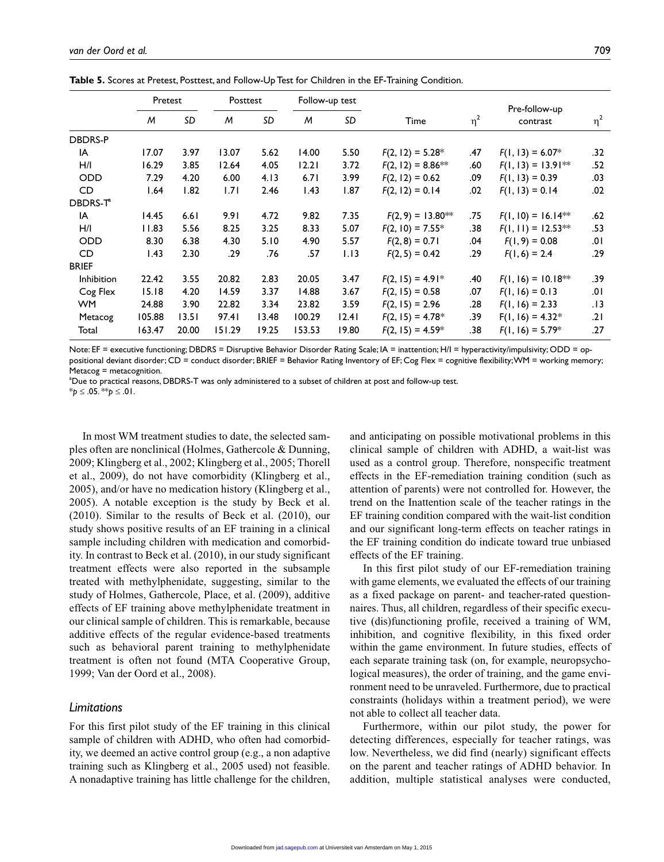**Table 5.** Scores at Pretest, Posttest, and Follow-Up Test for Children in the EF-Training Condition.

|                      |        | Pretest |        | Posttest |        | Follow-up test |                     |          | Pre-follow-up        |          |
|----------------------|--------|---------|--------|----------|--------|----------------|---------------------|----------|----------------------|----------|
|                      | M      | SD      | M      | SD       | M      | SD             | Time                | $\eta^2$ | contrast             | $\eta^2$ |
| <b>DBDRS-P</b>       |        |         |        |          |        |                |                     |          |                      |          |
| IA                   | 17.07  | 3.97    | 13.07  | 5.62     | 14.00  | 5.50           | $F(2, 12) = 5.28*$  | .47      | $F(1, 13) = 6.07*$   | .32      |
| H/I                  | 16.29  | 3.85    | 12.64  | 4.05     | 12.21  | 3.72           | $F(2, 12) = 8.86**$ | .60      | $F(1, 13) = 13.91**$ | .52      |
| <b>ODD</b>           | 7.29   | 4.20    | 6.00   | 4.13     | 6.71   | 3.99           | $F(2, 12) = 0.62$   | .09      | $F(1, 13) = 0.39$    | .03      |
| CD                   | 1.64   | 1.82    | 1.71   | 2.46     | 1.43   | 1.87           | $F(2, 12) = 0.14$   | .02      | $F(1, 13) = 0.14$    | .02      |
| DBDRS-T <sup>®</sup> |        |         |        |          |        |                |                     |          |                      |          |
| IA                   | 14.45  | 6.61    | 9.91   | 4.72     | 9.82   | 7.35           | $F(2, 9) = 13.80**$ | .75      | $F(1, 10) = 16.14**$ | .62      |
| H/I                  | 11.83  | 5.56    | 8.25   | 3.25     | 8.33   | 5.07           | $F(2, 10) = 7.55*$  | .38      | $F(1, 11) = 12.53**$ | .53      |
| <b>ODD</b>           | 8.30   | 6.38    | 4.30   | 5.10     | 4.90   | 5.57           | $F(2, 8) = 0.71$    | .04      | $F(1, 9) = 0.08$     | .01      |
| CD                   | 1.43   | 2.30    | .29    | .76      | .57    | 1.13           | $F(2, 5) = 0.42$    | .29      | $F(1, 6) = 2.4$      | .29      |
| <b>BRIEF</b>         |        |         |        |          |        |                |                     |          |                      |          |
| Inhibition           | 22.42  | 3.55    | 20.82  | 2.83     | 20.05  | 3.47           | $F(2, 15) = 4.91*$  | .40      | $F(1, 16) = 10.18**$ | .39      |
| Cog Flex             | 15.18  | 4.20    | 14.59  | 3.37     | 14.88  | 3.67           | $F(2, 15) = 0.58$   | .07      | $F(1, 16) = 0.13$    | .01      |
| WM.                  | 24.88  | 3.90    | 22.82  | 3.34     | 23.82  | 3.59           | $F(2, 15) = 2.96$   | .28      | $F(1, 16) = 2.33$    | . 13     |
| Metacog              | 105.88 | 13.51   | 97.41  | 13.48    | 100.29 | 12.41          | $F(2, 15) = 4.78*$  | .39      | $F(1, 16) = 4.32*$   | .21      |
| Total                | 163.47 | 20.00   | 151.29 | 19.25    | 153.53 | 19.80          | $F(2, 15) = 4.59*$  | .38      | $F(1, 16) = 5.79*$   | .27      |

Note: EF = executive functioning; DBDRS = Disruptive Behavior Disorder Rating Scale; IA = inattention; H/I = hyperactivity/impulsivity; ODD = oppositional deviant disorder; CD = conduct disorder; BRIEF = Behavior Rating Inventory of EF; Cog Flex = cognitive flexibility; WM = working memory; Metacog = metacognition.

a Due to practical reasons, DBDRS-T was only administered to a subset of children at post and follow-up test.

\**p* ≤ .05. \*\**p* ≤ .01.

In most WM treatment studies to date, the selected samples often are nonclinical (Holmes, Gathercole & Dunning, 2009; Klingberg et al., 2002; Klingberg et al., 2005; Thorell et al., 2009), do not have comorbidity (Klingberg et al., 2005), and/or have no medication history (Klingberg et al., 2005). A notable exception is the study by Beck et al. (2010). Similar to the results of Beck et al. (2010), our study shows positive results of an EF training in a clinical sample including children with medication and comorbidity. In contrast to Beck et al. (2010), in our study significant treatment effects were also reported in the subsample treated with methylphenidate, suggesting, similar to the study of Holmes, Gathercole, Place, et al. (2009), additive effects of EF training above methylphenidate treatment in our clinical sample of children. This is remarkable, because additive effects of the regular evidence-based treatments such as behavioral parent training to methylphenidate treatment is often not found (MTA Cooperative Group, 1999; Van der Oord et al., 2008).

### *Limitations*

For this first pilot study of the EF training in this clinical sample of children with ADHD, who often had comorbidity, we deemed an active control group (e.g., a non adaptive training such as Klingberg et al., 2005 used) not feasible. A nonadaptive training has little challenge for the children,

and anticipating on possible motivational problems in this clinical sample of children with ADHD, a wait-list was used as a control group. Therefore, nonspecific treatment effects in the EF-remediation training condition (such as attention of parents) were not controlled for. However, the trend on the Inattention scale of the teacher ratings in the EF training condition compared with the wait-list condition and our significant long-term effects on teacher ratings in the EF training condition do indicate toward true unbiased effects of the EF training.

In this first pilot study of our EF-remediation training with game elements, we evaluated the effects of our training as a fixed package on parent- and teacher-rated questionnaires. Thus, all children, regardless of their specific executive (dis)functioning profile, received a training of WM, inhibition, and cognitive flexibility, in this fixed order within the game environment. In future studies, effects of each separate training task (on, for example, neuropsychological measures), the order of training, and the game environment need to be unraveled. Furthermore, due to practical constraints (holidays within a treatment period), we were not able to collect all teacher data.

Furthermore, within our pilot study, the power for detecting differences, especially for teacher ratings, was low. Nevertheless, we did find (nearly) significant effects on the parent and teacher ratings of ADHD behavior. In addition, multiple statistical analyses were conducted,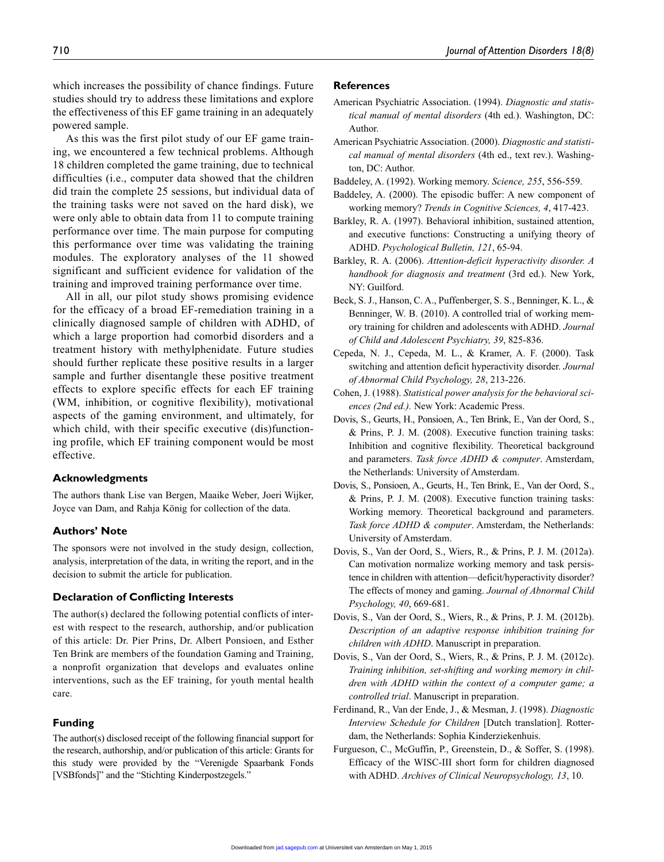which increases the possibility of chance findings. Future studies should try to address these limitations and explore the effectiveness of this EF game training in an adequately powered sample.

As this was the first pilot study of our EF game training, we encountered a few technical problems. Although 18 children completed the game training, due to technical difficulties (i.e., computer data showed that the children did train the complete 25 sessions, but individual data of the training tasks were not saved on the hard disk), we were only able to obtain data from 11 to compute training performance over time. The main purpose for computing this performance over time was validating the training modules. The exploratory analyses of the 11 showed significant and sufficient evidence for validation of the training and improved training performance over time.

All in all, our pilot study shows promising evidence for the efficacy of a broad EF-remediation training in a clinically diagnosed sample of children with ADHD, of which a large proportion had comorbid disorders and a treatment history with methylphenidate. Future studies should further replicate these positive results in a larger sample and further disentangle these positive treatment effects to explore specific effects for each EF training (WM, inhibition, or cognitive flexibility), motivational aspects of the gaming environment, and ultimately, for which child, with their specific executive (dis)functioning profile, which EF training component would be most effective.

#### **Acknowledgments**

The authors thank Lise van Bergen, Maaike Weber, Joeri Wijker, Joyce van Dam, and Rahja König for collection of the data.

#### **Authors' Note**

The sponsors were not involved in the study design, collection, analysis, interpretation of the data, in writing the report, and in the decision to submit the article for publication.

#### **Declaration of Conflicting Interests**

The author(s) declared the following potential conflicts of interest with respect to the research, authorship, and/or publication of this article: Dr. Pier Prins, Dr. Albert Ponsioen, and Esther Ten Brink are members of the foundation Gaming and Training, a nonprofit organization that develops and evaluates online interventions, such as the EF training, for youth mental health care.

#### **Funding**

The author(s) disclosed receipt of the following financial support for the research, authorship, and/or publication of this article: Grants for this study were provided by the "Verenigde Spaarbank Fonds [VSBfonds]" and the "Stichting Kinderpostzegels."

#### **References**

- American Psychiatric Association. (1994). *Diagnostic and statistical manual of mental disorders* (4th ed.). Washington, DC: Author.
- American Psychiatric Association. (2000). *Diagnostic and statistical manual of mental disorders* (4th ed., text rev.). Washington, DC: Author.
- Baddeley, A. (1992). Working memory. *Science, 255*, 556-559.
- Baddeley, A. (2000). The episodic buffer: A new component of working memory? *Trends in Cognitive Sciences, 4*, 417-423.
- Barkley, R. A. (1997). Behavioral inhibition, sustained attention, and executive functions: Constructing a unifying theory of ADHD. *Psychological Bulletin, 121*, 65-94.
- Barkley, R. A. (2006). *Attention-deficit hyperactivity disorder. A handbook for diagnosis and treatment* (3rd ed.). New York, NY: Guilford.
- Beck, S. J., Hanson, C. A., Puffenberger, S. S., Benninger, K. L., & Benninger, W. B. (2010). A controlled trial of working memory training for children and adolescents with ADHD. *Journal of Child and Adolescent Psychiatry, 39*, 825-836.
- Cepeda, N. J., Cepeda, M. L., & Kramer, A. F. (2000). Task switching and attention deficit hyperactivity disorder. *Journal of Abnormal Child Psychology, 28*, 213-226.
- Cohen, J. (1988). *Statistical power analysis for the behavioral sciences (2nd ed.).* New York: Academic Press.
- Dovis, S., Geurts, H., Ponsioen, A., Ten Brink, E., Van der Oord, S., & Prins, P. J. M. (2008). Executive function training tasks: Inhibition and cognitive flexibility. Theoretical background and parameters. *Task force ADHD & computer*. Amsterdam, the Netherlands: University of Amsterdam.
- Dovis, S., Ponsioen, A., Geurts, H., Ten Brink, E., Van der Oord, S., & Prins, P. J. M. (2008). Executive function training tasks: Working memory. Theoretical background and parameters. *Task force ADHD & computer*. Amsterdam, the Netherlands: University of Amsterdam.
- Dovis, S., Van der Oord, S., Wiers, R., & Prins, P. J. M. (2012a). Can motivation normalize working memory and task persistence in children with attention—deficit/hyperactivity disorder? The effects of money and gaming. *Journal of Abnormal Child Psychology, 40*, 669-681.
- Dovis, S., Van der Oord, S., Wiers, R., & Prins, P. J. M. (2012b). *Description of an adaptive response inhibition training for children with ADHD*. Manuscript in preparation.
- Dovis, S., Van der Oord, S., Wiers, R., & Prins, P. J. M. (2012c). *Training inhibition, set-shifting and working memory in children with ADHD within the context of a computer game; a controlled trial*. Manuscript in preparation.
- Ferdinand, R., Van der Ende, J., & Mesman, J. (1998). *Diagnostic Interview Schedule for Children* [Dutch translation]. Rotterdam, the Netherlands: Sophia Kinderziekenhuis.
- Furgueson, C., McGuffin, P., Greenstein, D., & Soffer, S. (1998). Efficacy of the WISC-III short form for children diagnosed with ADHD. *Archives of Clinical Neuropsychology, 13*, 10.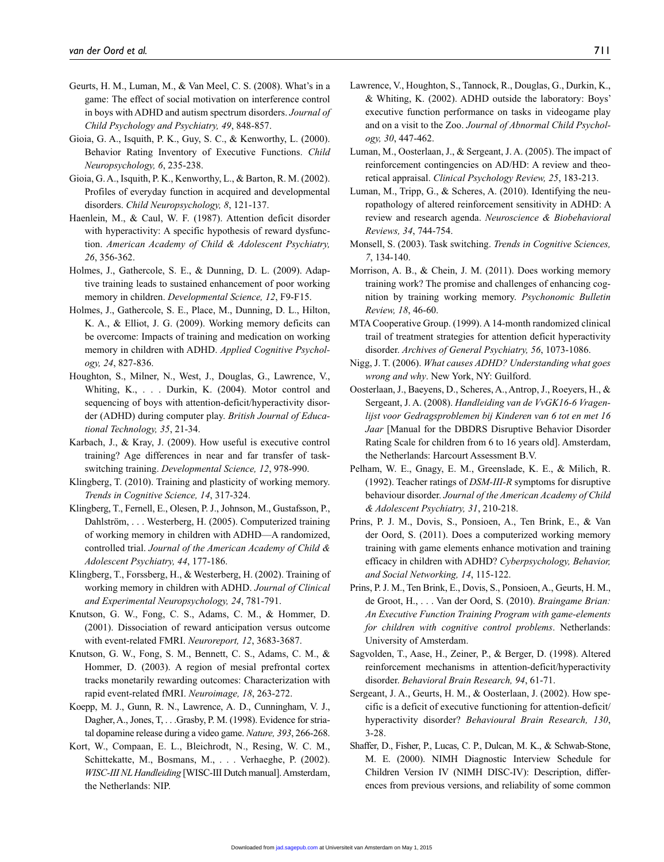- Geurts, H. M., Luman, M., & Van Meel, C. S. (2008). What's in a game: The effect of social motivation on interference control in boys with ADHD and autism spectrum disorders. *Journal of Child Psychology and Psychiatry, 49*, 848-857.
- Gioia, G. A., Isquith, P. K., Guy, S. C., & Kenworthy, L. (2000). Behavior Rating Inventory of Executive Functions. *Child Neuropsychology, 6*, 235-238.
- Gioia, G. A., Isquith, P. K., Kenworthy, L., & Barton, R. M. (2002). Profiles of everyday function in acquired and developmental disorders. *Child Neuropsychology, 8*, 121-137.
- Haenlein, M., & Caul, W. F. (1987). Attention deficit disorder with hyperactivity: A specific hypothesis of reward dysfunction. *American Academy of Child & Adolescent Psychiatry, 26*, 356-362.
- Holmes, J., Gathercole, S. E., & Dunning, D. L. (2009). Adaptive training leads to sustained enhancement of poor working memory in children. *Developmental Science, 12*, F9-F15.
- Holmes, J., Gathercole, S. E., Place, M., Dunning, D. L., Hilton, K. A., & Elliot, J. G. (2009). Working memory deficits can be overcome: Impacts of training and medication on working memory in children with ADHD. *Applied Cognitive Psychology, 24*, 827-836.
- Houghton, S., Milner, N., West, J., Douglas, G., Lawrence, V., Whiting, K., . . . Durkin, K. (2004). Motor control and sequencing of boys with attention-deficit/hyperactivity disorder (ADHD) during computer play. *British Journal of Educational Technology, 35*, 21-34.
- Karbach, J., & Kray, J. (2009). How useful is executive control training? Age differences in near and far transfer of taskswitching training. *Developmental Science, 12*, 978-990.
- Klingberg, T. (2010). Training and plasticity of working memory. *Trends in Cognitive Science, 14*, 317-324.
- Klingberg, T., Fernell, E., Olesen, P. J., Johnson, M., Gustafsson, P., Dahlström, . . . Westerberg, H. (2005). Computerized training of working memory in children with ADHD—A randomized, controlled trial. *Journal of the American Academy of Child & Adolescent Psychiatry, 44*, 177-186.
- Klingberg, T., Forssberg, H., & Westerberg, H. (2002). Training of working memory in children with ADHD. *Journal of Clinical and Experimental Neuropsychology, 24*, 781-791.
- Knutson, G. W., Fong, C. S., Adams, C. M., & Hommer, D. (2001). Dissociation of reward anticipation versus outcome with event-related FMRI. *Neuroreport, 12*, 3683-3687.
- Knutson, G. W., Fong, S. M., Bennett, C. S., Adams, C. M., & Hommer, D. (2003). A region of mesial prefrontal cortex tracks monetarily rewarding outcomes: Characterization with rapid event-related fMRI. *Neuroimage, 18*, 263-272.
- Koepp, M. J., Gunn, R. N., Lawrence, A. D., Cunningham, V. J., Dagher, A., Jones, T. . . . Grasby, P. M. (1998). Evidence for striatal dopamine release during a video game. *Nature, 393*, 266-268.
- Kort, W., Compaan, E. L., Bleichrodt, N., Resing, W. C. M., Schittekatte, M., Bosmans, M., . . . Verhaeghe, P. (2002). *WISC-III NL Handleiding* [WISC-III Dutch manual]. Amsterdam, the Netherlands: NIP.
- Lawrence, V., Houghton, S., Tannock, R., Douglas, G., Durkin, K., & Whiting, K. (2002). ADHD outside the laboratory: Boys' executive function performance on tasks in videogame play and on a visit to the Zoo. *Journal of Abnormal Child Psychology, 30*, 447-462.
- Luman, M., Oosterlaan, J., & Sergeant, J. A. (2005). The impact of reinforcement contingencies on AD/HD: A review and theoretical appraisal. *Clinical Psychology Review, 25*, 183-213.
- Luman, M., Tripp, G., & Scheres, A. (2010). Identifying the neuropathology of altered reinforcement sensitivity in ADHD: A review and research agenda. *Neuroscience & Biobehavioral Reviews, 34*, 744-754.
- Monsell, S. (2003). Task switching. *Trends in Cognitive Sciences, 7*, 134-140.
- Morrison, A. B., & Chein, J. M. (2011). Does working memory training work? The promise and challenges of enhancing cognition by training working memory. *Psychonomic Bulletin Review, 18*, 46-60.
- MTA Cooperative Group. (1999). A 14-month randomized clinical trail of treatment strategies for attention deficit hyperactivity disorder. *Archives of General Psychiatry, 56*, 1073-1086.
- Nigg, J. T. (2006). *What causes ADHD? Understanding what goes wrong and why*. New York, NY: Guilford.
- Oosterlaan, J., Baeyens, D., Scheres, A., Antrop, J., Roeyers, H., & Sergeant, J. A. (2008). *Handleiding van de VvGK16-6 Vragenlijst voor Gedragsproblemen bij Kinderen van 6 tot en met 16 Jaar* [Manual for the DBDRS Disruptive Behavior Disorder Rating Scale for children from 6 to 16 years old]. Amsterdam, the Netherlands: Harcourt Assessment B.V.
- Pelham, W. E., Gnagy, E. M., Greenslade, K. E., & Milich, R. (1992). Teacher ratings of *DSM-III-R* symptoms for disruptive behaviour disorder. *Journal of the American Academy of Child & Adolescent Psychiatry, 31*, 210-218.
- Prins, P. J. M., Dovis, S., Ponsioen, A., Ten Brink, E., & Van der Oord, S. (2011). Does a computerized working memory training with game elements enhance motivation and training efficacy in children with ADHD? *Cyberpsychology, Behavior, and Social Networking, 14*, 115-122.
- Prins, P. J. M., Ten Brink, E., Dovis, S., Ponsioen, A., Geurts, H. M., de Groot, H., . . . Van der Oord, S. (2010). *Braingame Brian: An Executive Function Training Program with game-elements for children with cognitive control problems*. Netherlands: University of Amsterdam.
- Sagvolden, T., Aase, H., Zeiner, P., & Berger, D. (1998). Altered reinforcement mechanisms in attention-deficit/hyperactivity disorder. *Behavioral Brain Research, 94*, 61-71.
- Sergeant, J. A., Geurts, H. M., & Oosterlaan, J. (2002). How specific is a deficit of executive functioning for attention-deficit/ hyperactivity disorder? *Behavioural Brain Research, 130*, 3-28.
- Shaffer, D., Fisher, P., Lucas, C. P., Dulcan, M. K., & Schwab-Stone, M. E. (2000). NIMH Diagnostic Interview Schedule for Children Version IV (NIMH DISC-IV): Description, differences from previous versions, and reliability of some common